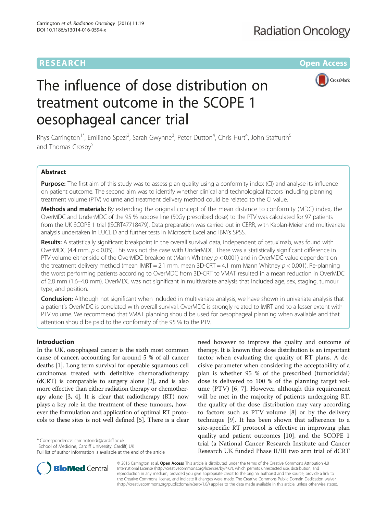# **RESEARCH CHE Open Access**



# The influence of dose distribution on treatment outcome in the SCOPE 1 oesophageal cancer trial

Rhys Carrington<sup>1\*</sup>, Emiliano Spezi<sup>2</sup>, Sarah Gwynne<sup>3</sup>, Peter Dutton<sup>4</sup>, Chris Hurt<sup>4</sup>, John Staffurth<sup>5</sup> and Thomas Crosby<sup>5</sup>

# Abstract

Purpose: The first aim of this study was to assess plan quality using a conformity index (CI) and analyse its influence on patient outcome. The second aim was to identify whether clinical and technological factors including planning treatment volume (PTV) volume and treatment delivery method could be related to the CI value.

Methods and materials: By extending the original concept of the mean distance to conformity (MDC) index, the OverMDC and UnderMDC of the 95 % isodose line (50Gy prescribed dose) to the PTV was calculated for 97 patients from the UK SCOPE 1 trial (ISCRT47718479). Data preparation was carried out in CERR, with Kaplan-Meier and multivariate analysis undertaken in EUCLID and further tests in Microsoft Excel and IBM's SPSS.

Results: A statistically significant breakpoint in the overall survival data, independent of cetuximab, was found with OverMDC (4.4 mm,  $p < 0.05$ ). This was not the case with UnderMDC. There was a statistically significant difference in PTV volume either side of the OverMDC breakpoint (Mann Whitney p < 0.001) and in OverMDC value dependent on the treatment delivery method (mean IMRT = 2.1 mm, mean 3D-CRT = 4.1 mm Mann Whitney  $p < 0.001$ ). Re-planning the worst performing patients according to OverMDC from 3D-CRT to VMAT resulted in a mean reduction in OverMDC of 2.8 mm (1.6–4.0 mm). OverMDC was not significant in multivariate analysis that included age, sex, staging, tumour type, and position.

**Conclusion:** Although not significant when included in multivariate analysis, we have shown in univariate analysis that a patient's OverMDC is correlated with overall survival. OverMDC is strongly related to IMRT and to a lesser extent with PTV volume. We recommend that VMAT planning should be used for oesophageal planning when available and that attention should be paid to the conformity of the 95 % to the PTV.

# Introduction

In the UK, oesophageal cancer is the sixth most common cause of cancer, accounting for around 5 % of all cancer deaths [[1](#page-6-0)]. Long term survival for operable squamous cell carcinomas treated with definitive chemoradiotherapy (dCRT) is comparable to surgery alone [[2\]](#page-6-0), and is also more effective than either radiation therapy or chemotherapy alone [\[3, 4](#page-6-0)]. It is clear that radiotherapy (RT) now plays a key role in the treatment of these tumours, however the formulation and application of optimal RT protocols to these sites is not well defined [[5](#page-6-0)]. There is a clear

\* Correspondence: [carringtondr@cardiff.ac.uk](mailto:carringtondr@cardiff.ac.uk) <sup>1</sup>

<sup>1</sup> School of Medicine, Cardiff University, Cardiff, UK

need however to improve the quality and outcome of therapy. It is known that dose distribution is an important factor when evaluating the quality of RT plans. A decisive parameter when considering the acceptability of a plan is whether 95 % of the prescribed (tumoricidal) dose is delivered to 100 % of the planning target volume (PTV) [[6](#page-6-0), [7](#page-6-0)]. However, although this requirement will be met in the majority of patients undergoing RT, the quality of the dose distribution may vary according to factors such as PTV volume [\[8](#page-6-0)] or by the delivery technique [[9\]](#page-6-0). It has been shown that adherence to a site-specific RT protocol is effective in improving plan quality and patient outcomes [[10\]](#page-6-0), and the SCOPE 1 trial (a National Cancer Research Institute and Cancer Research UK funded Phase II/III two arm trial of dCRT



© 2016 Carrington et al. Open Access This article is distributed under the terms of the Creative Commons Attribution 4.0 International License [\(http://creativecommons.org/licenses/by/4.0/](http://creativecommons.org/licenses/by/4.0/)), which permits unrestricted use, distribution, and reproduction in any medium, provided you give appropriate credit to the original author(s) and the source, provide a link to the Creative Commons license, and indicate if changes were made. The Creative Commons Public Domain Dedication waiver [\(http://creativecommons.org/publicdomain/zero/1.0/](http://creativecommons.org/publicdomain/zero/1.0/)) applies to the data made available in this article, unless otherwise stated.

Full list of author information is available at the end of the article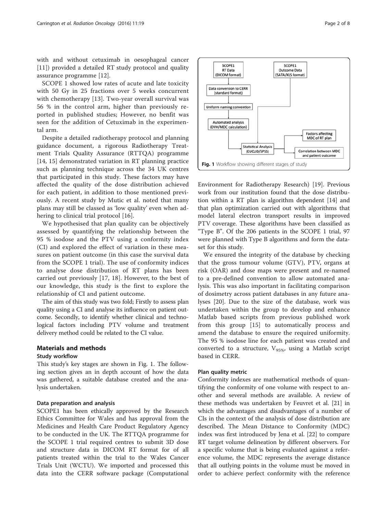with and without cetuximab in oesophageal cancer [[11\]](#page-6-0)) provided a detailed RT study protocol and quality assurance programme [[12\]](#page-6-0).

SCOPE 1 showed low rates of acute and late toxicity with 50 Gy in 25 fractions over 5 weeks concurrent with chemotherapy [[13](#page-6-0)]. Two-year overall survival was 56 % in the control arm, higher than previously reported in published studies; However, no benfit was seen for the addition of Cetuximab in the experimental arm.

Despite a detailed radiotherapy protocol and planning guidance document, a rigorous Radiotherapy Treatment Trials Quality Assurance (RTTQA) programme [[14, 15](#page--1-0)] demonstrated variation in RT planning practice such as planning technique across the 34 UK centres that participated in this study. These factors may have affected the quality of the dose distribution achieved for each patient, in addition to those mentioned previously. A recent study by Mutic et al. noted that many plans may still be classed as 'low quality' even when adhering to clinical trial protocol [\[16](#page--1-0)].

We hypothesised that plan quality can be objectively assessed by quantifying the relationship between the 95 % isodose and the PTV using a conformity index (CI) and explored the effect of variation in these measures on patient outcome (in this case the survival data from the SCOPE 1 trial). The use of conformity indices to analyse dose distribution of RT plans has been carried out previously [\[17, 18](#page--1-0)]. However, to the best of our knowledge, this study is the first to explore the relationship of CI and patient outcome.

The aim of this study was two fold; Firstly to assess plan quality using a CI and analyse its influence on patient outcome. Secondly, to identify whether clinical and technological factors including PTV volume and treatment delivery method could be related to the CI value.

# Materials and methods

#### Study workflow

This study's key stages are shown in Fig. 1. The following section gives an in depth account of how the data was gathered, a suitable database created and the analysis undertaken.

#### Data preparation and analysis

SCOPE1 has been ethically approved by the Research Ethics Committee for Wales and has approval from the Medicines and Health Care Product Regulatory Agency to be conducted in the UK. The RTTQA programme for the SCOPE 1 trial required centres to submit 3D dose and structure data in DICOM RT format for of all patients treated within the trial to the Wales Cancer Trials Unit (WCTU). We imported and processed this data into the CERR software package (Computational



Environment for Radiotherapy Research) [\[19\]](#page--1-0). Previous work from our institution found that the dose distribution within a RT plan is algorithm dependent [\[14](#page--1-0)] and that plan optimization carried out with algorithms that model lateral electron transport results in improved PTV coverage. These algorithms have been classified as "Type B". Of the 206 patients in the SCOPE 1 trial, 97 were planned with Type B algorithms and form the dataset for this study.

We ensured the integrity of the database by checking that the gross tumour volume (GTV), PTV, organs at risk (OAR) and dose maps were present and re-named to a pre-defined convention to allow automated analysis. This was also important in facilitating comparison of dosimetry across patient databases in any future analyses [[20\]](#page--1-0). Due to the size of the database, work was undertaken within the group to develop and enhance Matlab based scripts from previous published work from this group [[15](#page--1-0)] to automatically process and amend the database to ensure the required uniformity. The 95 % isodose line for each patient was created and converted to a structure,  $V_{95\%}$ , using a Matlab script based in CERR.

# Plan quality metric

Conformity indexes are mathematical methods of quantifying the conformity of one volume with respect to another and several methods are available. A review of these methods was undertaken by Feuvret et al. [[21\]](#page--1-0) in which the advantages and disadvantages of a number of CIs in the context of the analysis of dose distribution are described. The Mean Distance to Conformity (MDC) index was first introduced by Jena et al. [\[22](#page--1-0)] to compare RT target volume delineation by different observers. For a specific volume that is being evaluated against a reference volume, the MDC represents the average distance that all outlying points in the volume must be moved in order to achieve perfect conformity with the reference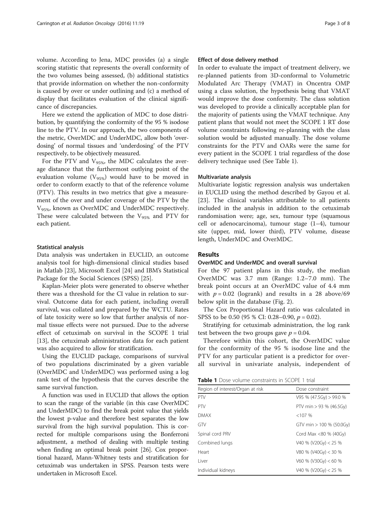volume. According to Jena, MDC provides (a) a single scoring statistic that represents the overall conformity of the two volumes being assessed, (b) additional statistics that provide information on whether the non-conformity is caused by over or under outlining and (c) a method of display that facilitates evaluation of the clinical significance of discrepancies.

Here we extend the application of MDC to dose distribution, by quantifying the conformity of the 95 % isodose line to the PTV. In our approach, the two components of the metric, OverMDC and UnderMDC, allow both 'overdosing' of normal tissues and 'underdosing' of the PTV respectively, to be objectively measured.

For the PTV and  $V_{95\%}$ , the MDC calculates the average distance that the furthermost outlying point of the evaluation volume ( $V_{95\%}$ ) would have to be moved in order to conform exactly to that of the reference volume (PTV). This results in two metrics that give a measurement of the over and under coverage of the PTV by the V95%, known as OverMDC and UnderMDC respectively. These were calculated between the  $V_{95\%}$  and PTV for each patient.

#### Statistical analysis

Data analysis was undertaken in EUCLID, an outcome analysis tool for high-dimensional clinical studies based in Matlab [[23](#page--1-0)], Microsoft Excel [\[24\]](#page--1-0) and IBM's Statistical Package for the Social Sciences (SPSS) [\[25\]](#page--1-0).

Kaplan-Meier plots were generated to observe whether there was a threshold for the CI value in relation to survival. Outcome data for each patient, including overall survival, was collated and prepared by the WCTU. Rates of late toxicity were so low that further analysis of normal tissue effects were not pursued. Due to the adverse effect of cetuximab on survival in the SCOPE 1 trial [[13\]](#page-6-0), the cetuximab administration data for each patient was also acquired to allow for stratification.

Using the EUCLID package, comparisons of survival of two populations discriminated by a given variable (OverMDC and UnderMDC) was performed using a log rank test of the hypothesis that the curves describe the same survival function.

A function was used in EUCLID that allows the option to scan the range of the variable (in this case OverMDC and UnderMDC) to find the break point value that yields the lowest p-value and therefore best separates the low survival from the high survival population. This is corrected for multiple comparisons using the Bonferroni adjustment, a method of dealing with multiple testing when finding an optimal break point [[26](#page--1-0)]. Cox proportional hazard, Mann-Whitney tests and stratification for cetuximab was undertaken in SPSS. Pearson tests were undertaken in Microsoft Excel.

#### Effect of dose delivery method

In order to evaluate the impact of treatment delivery, we re-planned patients from 3D-conformal to Volumetric Modulated Arc Therapy (VMAT) in Oncentra OMP using a class solution, the hypothesis being that VMAT would improve the dose conformity. The class solution was developed to provide a clinically acceptable plan for the majority of patients using the VMAT technique. Any patient plans that would not meet the SCOPE 1 RT dose volume constraints following re-planning with the class solution would be adjusted manually. The dose volume constraints for the PTV and OARs were the same for every patient in the SCOPE 1 trial regardless of the dose delivery technique used (See Table 1).

#### Multivariate analysis

Multivariate logistic regression analysis was undertaken in EUCLID using the method described by Gayou et al. [[23\]](#page--1-0). The clinical variables attributable to all patients included in the analysis in addition to the cetuximab randomisation were; age, sex, tumour type (squamous cell or adenocarcinoma), tumour stage (1–4), tumour site (upper, mid, lower third), PTV volume, disease length, UnderMDC and OverMDC.

#### Results

#### OverMDC and UnderMDC and overall survival

For the 97 patient plans in this study, the median OverMDC was 3.7 mm (Range: 1.2–7.0 mm). The break point occurs at an OverMDC value of 4.4 mm with  $p = 0.02$  (logrank) and results in a 28 above/69 below split in the database (Fig. [2](#page-3-0)).

The Cox Proportional Hazard ratio was calculated in SPSS to be 0.50 (95 % CI: 0.28–0.90,  $p = 0.02$ ).

Stratifying for cetuximab administration, the log rank test between the two groups gave  $p = 0.04$ .

Therefore within this cohort, the OverMDC value for the conformity of the 95 % isodose line and the PTV for any particular patient is a predictor for overall survival in univariate analysis, independent of

| <b>Table 1</b> Dose volume constraints in SCOPE 1 trial |
|---------------------------------------------------------|
|---------------------------------------------------------|

| Dose constraint            |
|----------------------------|
| $V95 \% (47.5Gv) > 99.0 %$ |
| PTV min $> 93$ % (46.5Gy)  |
| $<107\%$                   |
| GTV min > 100 % (50.0Gy)   |
| Cord Max <80 % (40Gy)      |
| V40 % (V20Gy) < 25 %       |
| $V80 \% (V40Gy) < 30 \%$   |
| $V60 \% (V30Gy) < 60 \%$   |
| V40 % (V20Gy) < 25 %       |
|                            |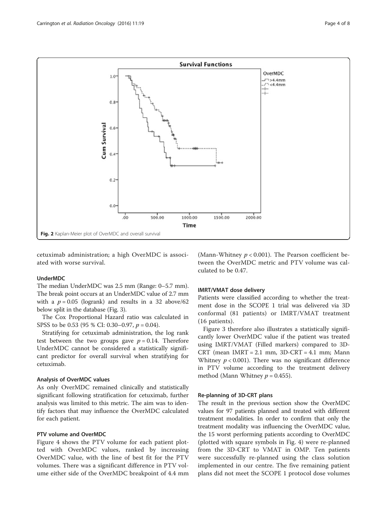<span id="page-3-0"></span>

cetuximab administration; a high OverMDC is associated with worse survival.

# UnderMDC

The median UnderMDC was 2.5 mm (Range: 0–5.7 mm). The break point occurs at an UnderMDC value of 2.7 mm with a  $p = 0.05$  (logrank) and results in a 32 above/62 below split in the database (Fig. [3\)](#page-4-0).

The Cox Proportional Hazard ratio was calculated in SPSS to be 0.53 (95 % CI: 0.30–0.97,  $p = 0.04$ ).

Stratifying for cetuximab administration, the log rank test between the two groups gave  $p = 0.14$ . Therefore UnderMDC cannot be considered a statistically significant predictor for overall survival when stratifying for cetuximab.

# Analysis of OverMDC values

As only OverMDC remained clinically and statistically significant following stratification for cetuximab, further analysis was limited to this metric. The aim was to identify factors that may influence the OverMDC calculated for each patient.

# PTV volume and OverMDC

Figure [4](#page-4-0) shows the PTV volume for each patient plotted with OverMDC values, ranked by increasing OverMDC value, with the line of best fit for the PTV volumes. There was a significant difference in PTV volume either side of the OverMDC breakpoint of 4.4 mm (Mann-Whitney  $p < 0.001$ ). The Pearson coefficient between the OverMDC metric and PTV volume was calculated to be 0.47.

# IMRT/VMAT dose delivery

Patients were classified according to whether the treatment dose in the SCOPE 1 trial was delivered via 3D conformal (81 patients) or IMRT/VMAT treatment (16 patients).

Figure [3](#page-4-0) therefore also illustrates a statistically significantly lower OverMDC value if the patient was treated using IMRT/VMAT (Filled markers) compared to 3D-CRT (mean  $IMRT = 2.1$  mm,  $3D-CRT = 4.1$  mm; Mann Whitney  $p < 0.001$ ). There was no significant difference in PTV volume according to the treatment delivery method (Mann Whitney  $p = 0.455$ ).

#### Re-planning of 3D-CRT plans

The result in the previous section show the OverMDC values for 97 patients planned and treated with different treatment modalities. In order to confirm that only the treatment modality was influencing the OverMDC value, the 15 worst performing patients according to OverMDC (plotted with square symbols in Fig. [4](#page-4-0)) were re-planned from the 3D-CRT to VMAT in OMP. Ten patients were successfully re-planned using the class solution implemented in our centre. The five remaining patient plans did not meet the SCOPE 1 protocol dose volumes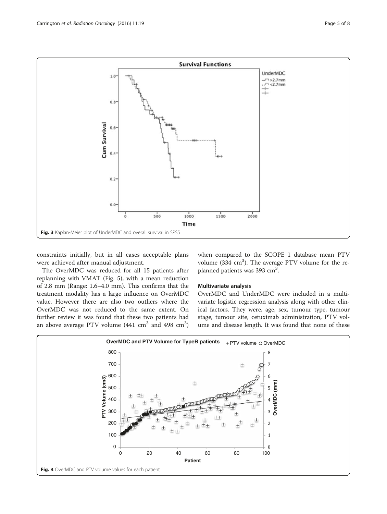<span id="page-4-0"></span>

constraints initially, but in all cases acceptable plans were achieved after manual adjustment.

The OverMDC was reduced for all 15 patients after replanning with VMAT (Fig. [5](#page-5-0)), with a mean reduction of 2.8 mm (Range: 1.6–4.0 mm). This confirms that the treatment modality has a large influence on OverMDC value. However there are also two outliers where the OverMDC was not reduced to the same extent. On further review it was found that these two patients had an above average PTV volume (441  $\rm cm^3$  and 498  $\rm cm^3)$ 

when compared to the SCOPE 1 database mean PTV volume ( $334 \text{ cm}^3$ ). The average PTV volume for the replanned patients was 393 cm<sup>3</sup>.

#### Multivariate analysis

OverMDC and UnderMDC were included in a multivariate logistic regression analysis along with other clinical factors. They were, age, sex, tumour type, tumour stage, tumour site, cetuximab administration, PTV volume and disease length. It was found that none of these

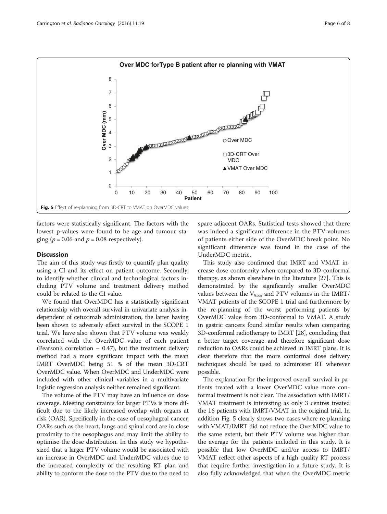<span id="page-5-0"></span>

factors were statistically significant. The factors with the lowest p-values were found to be age and tumour staging ( $p = 0.06$  and  $p = 0.08$  respectively).

# **Discussion**

The aim of this study was firstly to quantify plan quality using a CI and its effect on patient outcome. Secondly, to identify whether clinical and technological factors including PTV volume and treatment delivery method could be related to the CI value.

We found that OverMDC has a statistically significant relationship with overall survival in univariate analysis independent of cetuximab administration, the latter having been shown to adversely effect survival in the SCOPE 1 trial. We have also shown that PTV volume was weakly correlated with the OverMDC value of each patient (Pearson's correlation – 0.47), but the treatment delivery method had a more significant impact with the mean IMRT OverMDC being 51 % of the mean 3D-CRT OverMDC value. When OverMDC and UnderMDC were included with other clinical variables in a multivariate logistic regression analysis neither remained significant.

The volume of the PTV may have an influence on dose coverage. Meeting constraints for larger PTVs is more difficult due to the likely increased overlap with organs at risk (OAR). Specifically in the case of oesophageal cancer, OARs such as the heart, lungs and spinal cord are in close proximity to the oesophagus and may limit the ability to optimise the dose distribution. In this study we hypothesized that a larger PTV volume would be associated with an increase in OverMDC and UnderMDC values due to the increased complexity of the resulting RT plan and ability to conform the dose to the PTV due to the need to spare adjacent OARs. Statistical tests showed that there was indeed a significant difference in the PTV volumes of patients either side of the OverMDC break point. No significant difference was found in the case of the UnderMDC metric.

This study also confirmed that IMRT and VMAT increase dose conformity when compared to 3D-conformal therapy, as shown elsewhere in the literature [\[27\]](#page--1-0). This is demonstrated by the significantly smaller OverMDC values between the  $V_{95\%}$  and PTV volumes in the IMRT/ VMAT patients of the SCOPE 1 trial and furthermore by the re-planning of the worst performing patients by OverMDC value from 3D-conformal to VMAT. A study in gastric cancers found similar results when comparing 3D-conformal radiotherapy to IMRT [\[28\]](#page--1-0), concluding that a better target coverage and therefore significant dose reduction to OARs could be achieved in IMRT plans. It is clear therefore that the more conformal dose delivery techniques should be used to administer RT wherever possible.

The explanation for the improved overall survival in patients treated with a lower OverMDC value more conformal treatment is not clear. The association with IMRT/ VMAT treatment is interesting as only 3 centres treated the 16 patients with IMRT/VMAT in the original trial. In addition Fig. 5 clearly shows two cases where re-planning with VMAT/IMRT did not reduce the OverMDC value to the same extent, but their PTV volume was higher than the average for the patients included in this study. It is possible that low OverMDC and/or access to IMRT/ VMAT reflect other aspects of a high quality RT process that require further investigation in a future study. It is also fully acknowledged that when the OverMDC metric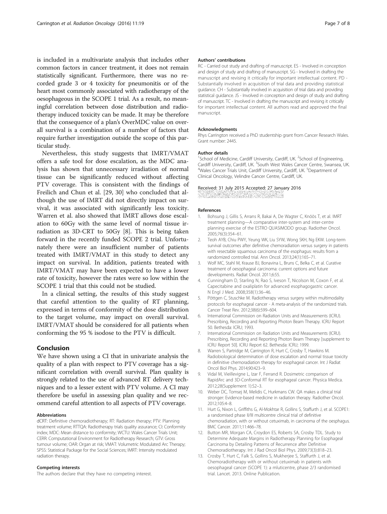<span id="page-6-0"></span>is included in a multivariate analysis that includes other common factors in cancer treatment, it does not remain statistically significant. Furthermore, there was no recorded grade 3 or 4 toxicity for pneumonitis or of the heart most commonly associated with radiotherapy of the oesophageous in the SCOPE 1 trial. As a result, no meaningful correlation between dose distribution and radiotherapy induced toxicity can be made. It may be therefore that the consequence of a plan's OverMDC value on overall survival is a combination of a number of factors that require further investigation outside the scope of this particular study.

Nevertheless, this study suggests that IMRT/VMAT offers a safe tool for dose escalation, as the MDC analysis has shown that unnecessary irradiation of normal tissue can be significantly reduced without affecting PTV coverage. This is consistent with the findings of Freilich and Chun et al. [\[29](#page--1-0), [30\]](#page--1-0) who concluded that although the use of IMRT did not directly impact on survival, it was associated with significantly less toxicity. Warren et al. also showed that IMRT allows dose escalation to 60Gy with the same level of normal tissue irradiation as 3D-CRT to 50Gy [8]. This is being taken forward in the recently funded SCOPE 2 trial. Unfortunately there were an insufficient number of patients treated with IMRT/VMAT in this study to detect any impact on survival. In addition, patients treated with IMRT/VMAT may have been expected to have a lower rate of toxicity, however the rates were so low within the SCOPE 1 trial that this could not be studied.

In a clinical setting, the results of this study suggest that careful attention to the quality of RT planning, expressed in terms of conformity of the dose distribution to the target volume, may impact on overall survival. IMRT/VMAT should be considered for all patients when conforming the 95 % isodose to the PTV is difficult.

# Conclusion

We have shown using a CI that in univariate analysis the quality of a plan with respect to PTV coverage has a significant correlation with overall survival. Plan quality is strongly related to the use of advanced RT delivery techniques and to a lesser extent with PTV volume. A CI may therefore be useful in assessing plan quality and we recommend careful attention to all aspects of PTV coverage.

#### Abbreviations

dCRT: Definitive chemoradiotherapy; RT: Radiation therapy; PTV: Planning treatment volume; RTTQA: Radiotherapy trials quality assurance; CI: Conformity index; MDC: Mean distance to conformity; WCTU: Wales Cancer Trials Unit; CERR: Computational Environment for Radiotherapy Research; GTV: Gross tumour volume; OAR: Organ at risk; VMAT: Volumetric Modulated Arc Therapy; SPSS: Statistical Package for the Social Sciences; IMRT: Intensity modulated radiation therapy.

#### Competing interests

The authors declare that they have no competing interest.

#### Authors' contributions

RC - Carried out study and drafting of manuscript. ES - Involved in conception and design of study and drafting of manuscript. SG - Involved in drafting the manuscript and revising it critically for important intellectual content. PD - Substantially involved in acquisition of trial data and providing statistical guidance. CH - Substantially involved in acquisition of trial data and providing statistical guidance. JS - Involved in conception and design of study and drafting of manuscript. TC - Involved in drafting the manuscript and revising it critically for important intellectual content. All authors read and approved the final manuscript.

#### Acknowledgments

Rhys Carrington received a PhD studentship grant from Cancer Research Wales. Grant number: 2445.

#### Author details

<sup>1</sup>School of Medicine, Cardiff University, Cardiff, UK. <sup>2</sup>School of Engineering Cardiff University, Cardiff, UK. <sup>3</sup>South West Wales Cancer Centre, Swansea, UK.<br><sup>4</sup>Wales Cancer Trials Unit, Cardiff University, Cardiff UK. <sup>5</sup>Denartment of Wales Cancer Trials Unit, Cardiff University, Cardiff, UK. <sup>5</sup>Department of Clinical Oncology, Velindre Cancer Centre, Cardiff, UK.

#### Received: 31 July 2015 Accepted: 27 January 2016

#### References

- 1. Bohsung J, Gillis S, Arrans R, Bakai A, De Wagter C, Knöös T, et al. IMRT treatment planning—A comparative inter-system and inter-centre planning exercise of the ESTRO QUASIMODO group. Radiother Oncol. 2005;76(3):354–61.
- 2. Teoh AYB, Chiu PWY, Yeung WK, Liu SYW, Wong SKH, Ng EKW. Long-term survival outcomes after definitive chemoradiation versus surgery in patients with resectable squamous carcinoma of the esophagus: results from a randomized controlled trial. Ann Oncol. 2013;24(1):165–71.
- 3. Wolf MC, Stahl M, Krause BJ, Bonavina L, Bruns C, Belka C, et al. Curative treatment of oesophageal carcinoma: current options and future developments. Radiat Oncol. 2011;6:55.
- 4. Cunningham D, Starling N, Rao S, Iveson T, Nicolson M, Coxon F, et al. Capecitabine and oxaliplatin for advanced esophagogastric cancer. N Engl J Med. 2008;358(1):36–46.
- 5. Pöttgen C, Stuschke M. Radiotherapy versus surgery within multimodality protocols for esophageal cancer - A meta-analysis of the randomized trials. Cancer Treat Rev. 2012;38(6):599–604.
- 6. International Commission on Radiation Units and Measurements (ICRU). Prescribing, Recording and Reporting Photon Beam Therapy. ICRU Report 50. Bethesda: ICRU; 1993.
- 7. International Commission on Radiation Units and Measurements (ICRU). Prescribing, Recording and Reporting Photon Beam Therapy [supplement to ICRU Report 50]. ICRU Report 62. Bethesda: ICRU; 1999.
- 8. Warren S, Partridge M, Carrington R, Hurt C, Crosby T, Hawkins M. Radiobiological determination of dose escalation and normal tissue toxicity in definitive chemoradiation therapy for esophageal cancer. Int J Radiat Oncol Biol Phys. 2014;90:423–9.
- 9. Vidal M, Vieillevigne L, Izar F, Ferrand R. Dosimetric comparison of RapidArc and 3D-Conformal RT for esophageal cancer. Physica Medica. 2012;28(Supplement 1):S2–3.
- 10. Weber DC, Tomsej M, Melidis C, Hurkmans CW. QA makes a clinical trial stronger: Evidence-based medicine in radiation therapy. Radiother Oncol. 2012;105:4–8.
- 11. Hurt G, Nixon L, Griffiths G, Al-Mokhtar R, Gollins S, Staffurth J, et al. SCOPE1: a randomised phase II/III multicentre clinical trial of definitive chemoradiation, with or without cetuximab, in carcinoma of the oesphagus. BMC Cancer. 2011;11:466–78.
- 12. Button MR, Morgan CA, Croydon ES, Roberts SA, Crosby TDL. Study to Determine Adequate Margins in Radiotherapy Planning for Esophageal Carcinoma by Detailing Patterns of Recurrence after Definitive Chemoradiotherapy. Int J Rad Oncol Biol Phys. 2009;73(3):818–23.
- 13. Crosby T, Hurt C, Falk S, Gollins S, Mukherjee S, Staffurth J, et al. Chemoradiotherapy with or without cetuximab in patients with oesophageal cancer (SCOPE 1): a mluticentre, phase 2/3 randomised trial. Lancet. 2013. Online Publication.